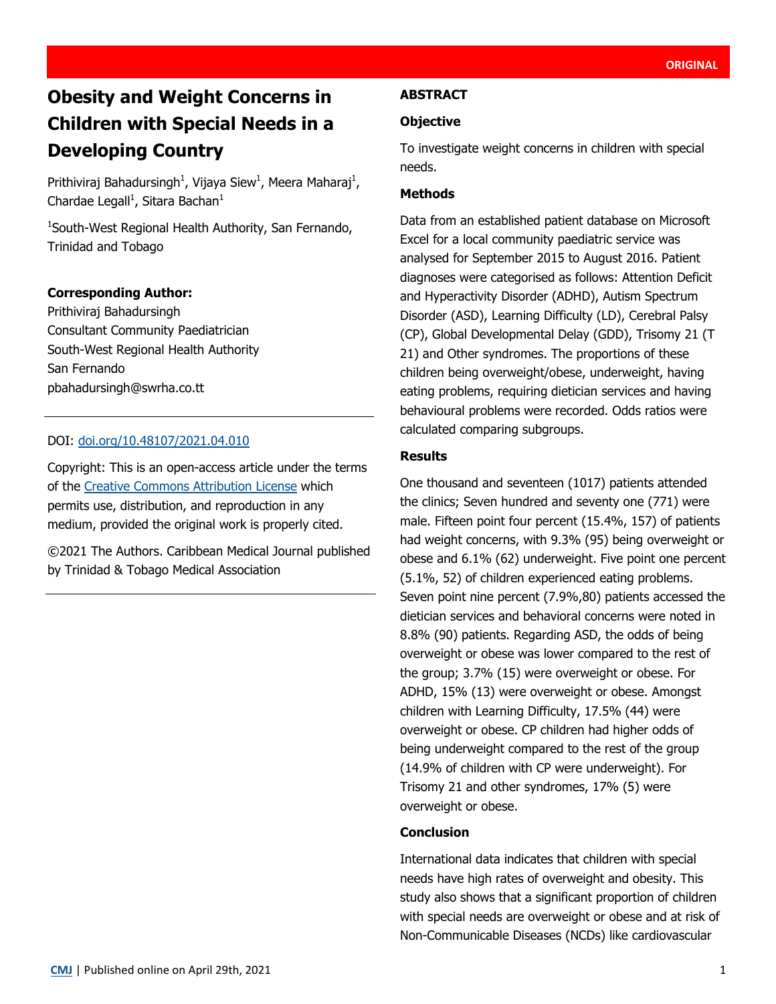# **Obesity and Weight Concerns in Children with Special Needs in a Developing Country**

Prithiviraj Bahadursingh<sup>1</sup>, Vijaya Siew<sup>1</sup>, Meera Maharaj<sup>1</sup>, Chardae Legall<sup>1</sup>, Sitara Bachan<sup>1</sup>

1 South-West Regional Health Authority, San Fernando, Trinidad and Tobago

## **Corresponding Author:**

Prithiviraj Bahadursingh Consultant Community Paediatrician South-West Regional Health Authority San Fernando pbahadursingh@swrha.co.tt

## DOI: [doi.org/10.48107/2021.04.010](https://doi.org/10.48107/2021.04.010)

Copyright: This is an open-access article under the terms of the [Creative Commons Attribution License](http://creativecommons.org/licenses/by/4.0/) which permits use, distribution, and reproduction in any medium, provided the original work is properly cited.

©2021 The Authors. Caribbean Medical Journal published by Trinidad & Tobago Medical Association

#### **ABSTRACT**

#### **Objective**

To investigate weight concerns in children with special needs.

#### **Methods**

Data from an established patient database on Microsoft Excel for a local community paediatric service was analysed for September 2015 to August 2016. Patient diagnoses were categorised as follows: Attention Deficit and Hyperactivity Disorder (ADHD), Autism Spectrum Disorder (ASD), Learning Difficulty (LD), Cerebral Palsy (CP), Global Developmental Delay (GDD), Trisomy 21 (T 21) and Other syndromes. The proportions of these children being overweight/obese, underweight, having eating problems, requiring dietician services and having behavioural problems were recorded. Odds ratios were calculated comparing subgroups.

#### **Results**

One thousand and seventeen (1017) patients attended the clinics; Seven hundred and seventy one (771) were male. Fifteen point four percent (15.4%, 157) of patients had weight concerns, with 9.3% (95) being overweight or obese and 6.1% (62) underweight. Five point one percent (5.1%, 52) of children experienced eating problems. Seven point nine percent (7.9%,80) patients accessed the dietician services and behavioral concerns were noted in 8.8% (90) patients. Regarding ASD, the odds of being overweight or obese was lower compared to the rest of the group; 3.7% (15) were overweight or obese. For ADHD, 15% (13) were overweight or obese. Amongst children with Learning Difficulty, 17.5% (44) were overweight or obese. CP children had higher odds of being underweight compared to the rest of the group (14.9% of children with CP were underweight). For Trisomy 21 and other syndromes, 17% (5) were overweight or obese.

## **Conclusion**

International data indicates that children with special needs have high rates of overweight and obesity. This study also shows that a significant proportion of children with special needs are overweight or obese and at risk of Non-Communicable Diseases (NCDs) like cardiovascular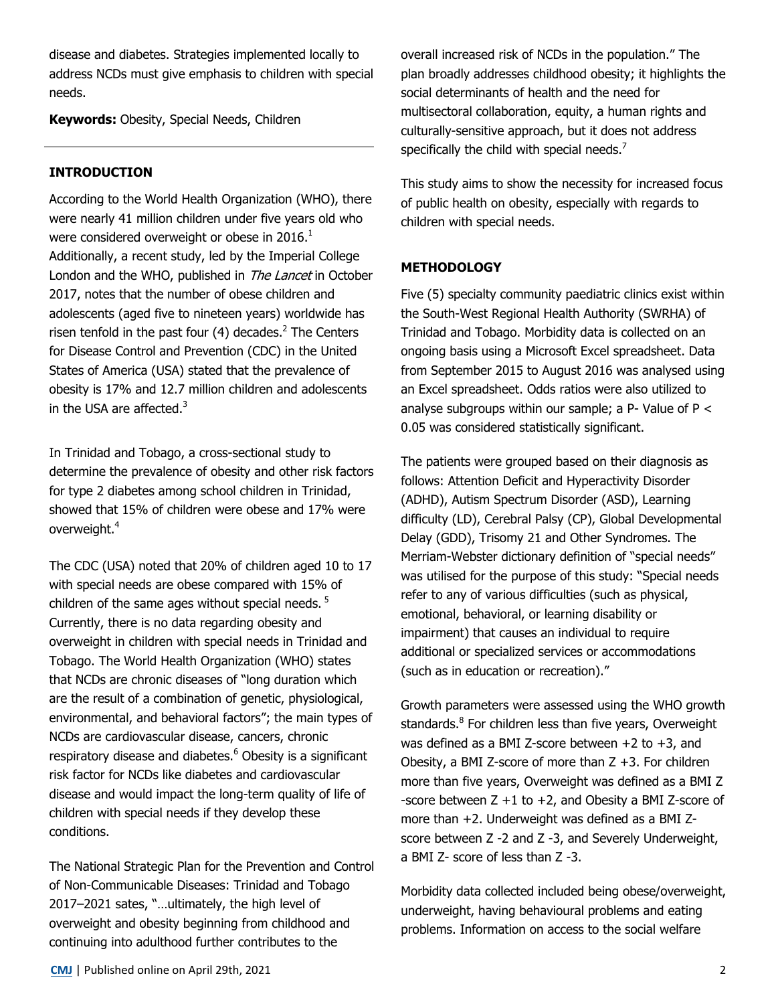disease and diabetes. Strategies implemented locally to address NCDs must give emphasis to children with special needs.

**Keywords:** Obesity, Special Needs, Children

# **INTRODUCTION**

According to the World Health Organization (WHO), there were nearly 41 million children under five years old who were considered overweight or obese in 2016. $<sup>1</sup>$ </sup> Additionally, a recent study, led by the Imperial College London and the WHO, published in The Lancet in October 2017, notes that the number of obese children and adolescents (aged five to nineteen years) worldwide has risen tenfold in the past four  $(4)$  decades.<sup>2</sup> The Centers for Disease Control and Prevention (CDC) in the United States of America (USA) stated that the prevalence of obesity is 17% and 12.7 million children and adolescents in the USA are affected. $3$ 

In Trinidad and Tobago, a cross-sectional study to determine the prevalence of obesity and other risk factors for type 2 diabetes among school children in Trinidad, showed that 15% of children were obese and 17% were overweight.<sup>4</sup>

The CDC (USA) noted that 20% of children aged 10 to 17 with special needs are obese compared with 15% of children of the same ages without special needs.<sup>5</sup> Currently, there is no data regarding obesity and overweight in children with special needs in Trinidad and Tobago. The World Health Organization (WHO) states that NCDs are chronic diseases of "long duration which are the result of a combination of genetic, physiological, environmental, and behavioral factors"; the main types of NCDs are cardiovascular disease, cancers, chronic respiratory disease and diabetes.<sup>6</sup> Obesity is a significant risk factor for NCDs like diabetes and cardiovascular disease and would impact the long-term quality of life of children with special needs if they develop these conditions.

The National Strategic Plan for the Prevention and Control of Non-Communicable Diseases: Trinidad and Tobago 2017–2021 sates, "…ultimately, the high level of overweight and obesity beginning from childhood and continuing into adulthood further contributes to the

overall increased risk of NCDs in the population." The plan broadly addresses childhood obesity; it highlights the social determinants of health and the need for multisectoral collaboration, equity, a human rights and culturally-sensitive approach, but it does not address specifically the child with special needs.<sup>7</sup>

This study aims to show the necessity for increased focus of public health on obesity, especially with regards to children with special needs.

# **METHODOLOGY**

Five (5) specialty community paediatric clinics exist within the South-West Regional Health Authority (SWRHA) of Trinidad and Tobago. Morbidity data is collected on an ongoing basis using a Microsoft Excel spreadsheet. Data from September 2015 to August 2016 was analysed using an Excel spreadsheet. Odds ratios were also utilized to analyse subgroups within our sample; a P- Value of  $P <$ 0.05 was considered statistically significant.

The patients were grouped based on their diagnosis as follows: Attention Deficit and Hyperactivity Disorder (ADHD), Autism Spectrum Disorder (ASD), Learning difficulty (LD), Cerebral Palsy (CP), Global Developmental Delay (GDD), Trisomy 21 and Other Syndromes. The Merriam-Webster dictionary definition of "special needs" was utilised for the purpose of this study: "Special needs refer to any of various difficulties (such as physical, emotional, behavioral, or learning disability or impairment) that causes an individual to require additional or specialized services or accommodations (such as in education or recreation)."

Growth parameters were assessed using the WHO growth standards.<sup>8</sup> For children less than five years, Overweight was defined as a BMI Z-score between  $+2$  to  $+3$ , and Obesity, a BMI Z-score of more than  $Z +3$ . For children more than five years, Overweight was defined as a BMI Z -score between  $Z + 1$  to  $+2$ , and Obesity a BMI Z-score of more than +2. Underweight was defined as a BMI Zscore between Z -2 and Z -3, and Severely Underweight, a BMI Z- score of less than Z -3.

Morbidity data collected included being obese/overweight, underweight, having behavioural problems and eating problems. Information on access to the social welfare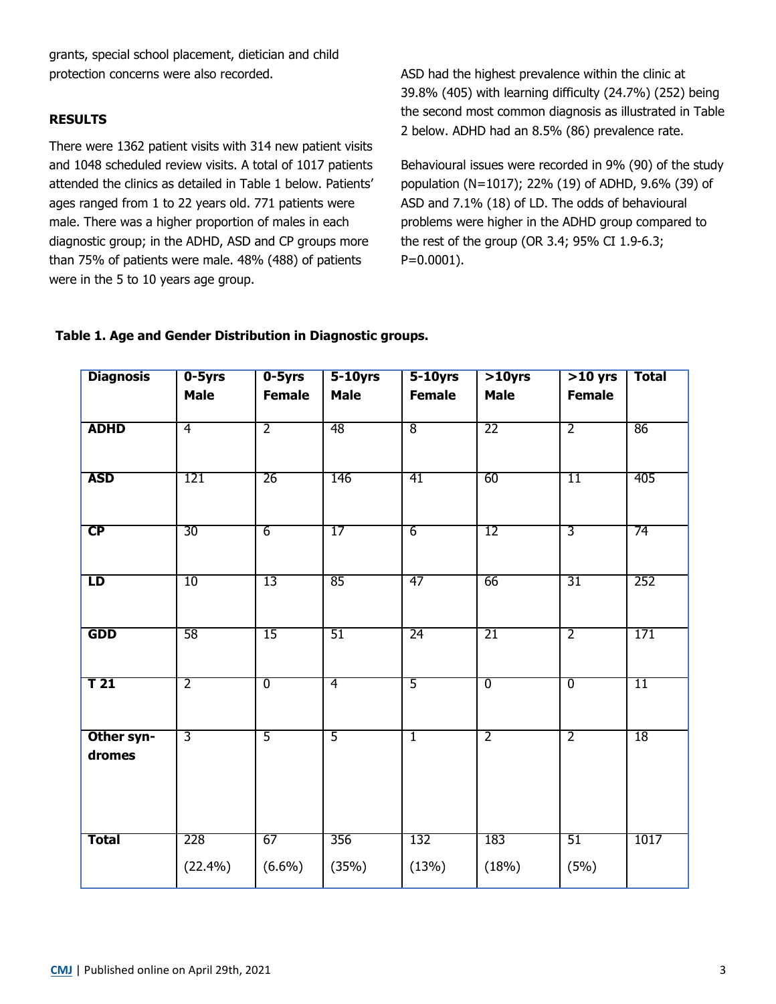grants, special school placement, dietician and child protection concerns were also recorded.

#### **RESULTS**

There were 1362 patient visits with 314 new patient visits and 1048 scheduled review visits. A total of 1017 patients attended the clinics as detailed in Table 1 below. Patients' ages ranged from 1 to 22 years old. 771 patients were male. There was a higher proportion of males in each diagnostic group; in the ADHD, ASD and CP groups more than 75% of patients were male. 48% (488) of patients were in the 5 to 10 years age group.

ASD had the highest prevalence within the clinic at 39.8% (405) with learning difficulty (24.7%) (252) being the second most common diagnosis as illustrated in Table 2 below. ADHD had an 8.5% (86) prevalence rate.

Behavioural issues were recorded in 9% (90) of the study population (N=1017); 22% (19) of ADHD, 9.6% (39) of ASD and 7.1% (18) of LD. The odds of behavioural problems were higher in the ADHD group compared to the rest of the group (OR 3.4; 95% CI 1.9-6.3; P=0.0001).

## **Table 1. Age and Gender Distribution in Diagnostic groups.**

| <b>Diagnosis</b>     | $0 - 5yrs$     | $0 - 5yrs$<br>$5-10$ yrs<br>$5-10yrs$ |                | <b>Total</b><br>$>10$ yrs<br>$>10$ yrs |                |                |      |
|----------------------|----------------|---------------------------------------|----------------|----------------------------------------|----------------|----------------|------|
|                      | <b>Male</b>    | <b>Female</b>                         | <b>Male</b>    | <b>Female</b>                          | <b>Male</b>    | <b>Female</b>  |      |
| <b>ADHD</b>          | 4              | $\overline{2}$                        | 48             | $\overline{8}$                         | 22             | $\overline{2}$ | 86   |
|                      |                |                                       |                |                                        |                |                |      |
| <b>ASD</b>           | 121            | 26                                    | 146            | 41                                     | 60             | 11             | 405  |
| CP                   | 30             | $6 \overline{}$                       | 17             | $\overline{6}$                         | 12             | 3              | 74   |
| LD                   | 10             | $\overline{13}$                       | 85             | 47                                     | 66             | 31             | 252  |
| <b>GDD</b>           | 58             | 15                                    | 51             | 24                                     | 21             | $\overline{2}$ | 171  |
| T <sub>21</sub>      | $\overline{2}$ | $\overline{0}$                        | 4              | $\overline{5}$                         | $\overline{0}$ | $\overline{0}$ | 11   |
| Other syn-<br>dromes | $\overline{3}$ | $\overline{5}$                        | $\overline{5}$ | T                                      | $\overline{2}$ | $\overline{2}$ | 18   |
| Total                | 228            | 67                                    | 356            | 132                                    | 183            | 51             | 1017 |
|                      | $(22.4\%)$     | $(6.6\%)$                             | (35%)          | (13%)                                  | (18%)          | (5%)           |      |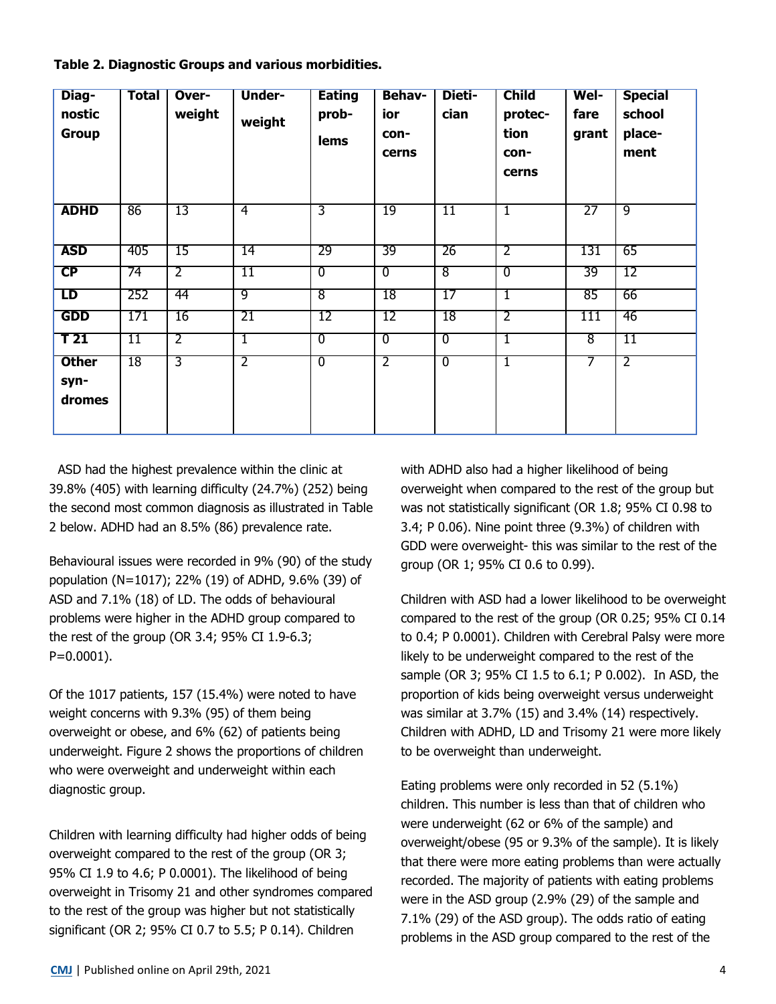| Table 2. Diagnostic Groups and various morbidities. |  |  |  |  |  |
|-----------------------------------------------------|--|--|--|--|--|
|-----------------------------------------------------|--|--|--|--|--|

| Diag-<br>nostic<br><b>Group</b> | <b>Total</b> | Over-<br>weight | <b>Under-</b><br>weight | <b>Eating</b><br>prob-<br><b>lems</b> | <b>Behav-</b><br>ior<br>con-<br>cerns | <b>Dieti-</b><br>cian | <b>Child</b><br>protec-<br>tion<br>con-<br>cerns | Wel-<br>fare<br>grant | <b>Special</b><br>school<br>place-<br>ment |
|---------------------------------|--------------|-----------------|-------------------------|---------------------------------------|---------------------------------------|-----------------------|--------------------------------------------------|-----------------------|--------------------------------------------|
| <b>ADHD</b>                     | 86           | 13              | $\overline{4}$          | 3                                     | 19                                    | 11                    | $\mathbf{1}$                                     | 27                    | ९                                          |
| <b>ASD</b>                      | 405          | 15              | 14                      | 29                                    | 39                                    | 26                    | $\overline{2}$                                   | 131                   | 65                                         |
| CP                              | 74           | $\overline{2}$  | 11                      | $\overline{0}$                        | $\overline{0}$                        | $\overline{8}$        | 0                                                | 39                    | 12                                         |
| LD                              | 252          | 44              | 9                       | $\overline{8}$                        | 18                                    | 17                    | $\mathbf{1}$                                     | 85                    | 66                                         |
| <b>GDD</b>                      | 171          | 16              | 21                      | 12                                    | 12                                    | 18                    | 2                                                | 111                   | 46                                         |
| T <sub>21</sub>                 | 11           | $\overline{2}$  | ī                       | $\overline{0}$                        | $\overline{0}$                        | $\overline{0}$        | 1                                                | $\overline{8}$        | 11                                         |
| <b>Other</b><br>syn-<br>dromes  | 18           | 3               | $\overline{2}$          | $\overline{0}$                        | $\overline{2}$                        | $\overline{0}$        | I                                                | 7                     | $\overline{2}$                             |

 ASD had the highest prevalence within the clinic at 39.8% (405) with learning difficulty (24.7%) (252) being the second most common diagnosis as illustrated in Table 2 below. ADHD had an 8.5% (86) prevalence rate.

Behavioural issues were recorded in 9% (90) of the study population (N=1017); 22% (19) of ADHD, 9.6% (39) of ASD and 7.1% (18) of LD. The odds of behavioural problems were higher in the ADHD group compared to the rest of the group (OR 3.4; 95% CI 1.9-6.3; P=0.0001).

Of the 1017 patients, 157 (15.4%) were noted to have weight concerns with 9.3% (95) of them being overweight or obese, and 6% (62) of patients being underweight. Figure 2 shows the proportions of children who were overweight and underweight within each diagnostic group.

Children with learning difficulty had higher odds of being overweight compared to the rest of the group (OR 3; 95% CI 1.9 to 4.6; P 0.0001). The likelihood of being overweight in Trisomy 21 and other syndromes compared to the rest of the group was higher but not statistically significant (OR 2; 95% CI 0.7 to 5.5; P 0.14). Children

with ADHD also had a higher likelihood of being overweight when compared to the rest of the group but was not statistically significant (OR 1.8; 95% CI 0.98 to 3.4; P 0.06). Nine point three (9.3%) of children with GDD were overweight- this was similar to the rest of the group (OR 1; 95% CI 0.6 to 0.99).

Children with ASD had a lower likelihood to be overweight compared to the rest of the group (OR 0.25; 95% CI 0.14 to 0.4; P 0.0001). Children with Cerebral Palsy were more likely to be underweight compared to the rest of the sample (OR 3; 95% CI 1.5 to 6.1; P 0.002). In ASD, the proportion of kids being overweight versus underweight was similar at 3.7% (15) and 3.4% (14) respectively. Children with ADHD, LD and Trisomy 21 were more likely to be overweight than underweight.

Eating problems were only recorded in 52 (5.1%) children. This number is less than that of children who were underweight (62 or 6% of the sample) and overweight/obese (95 or 9.3% of the sample). It is likely that there were more eating problems than were actually recorded. The majority of patients with eating problems were in the ASD group (2.9% (29) of the sample and 7.1% (29) of the ASD group). The odds ratio of eating problems in the ASD group compared to the rest of the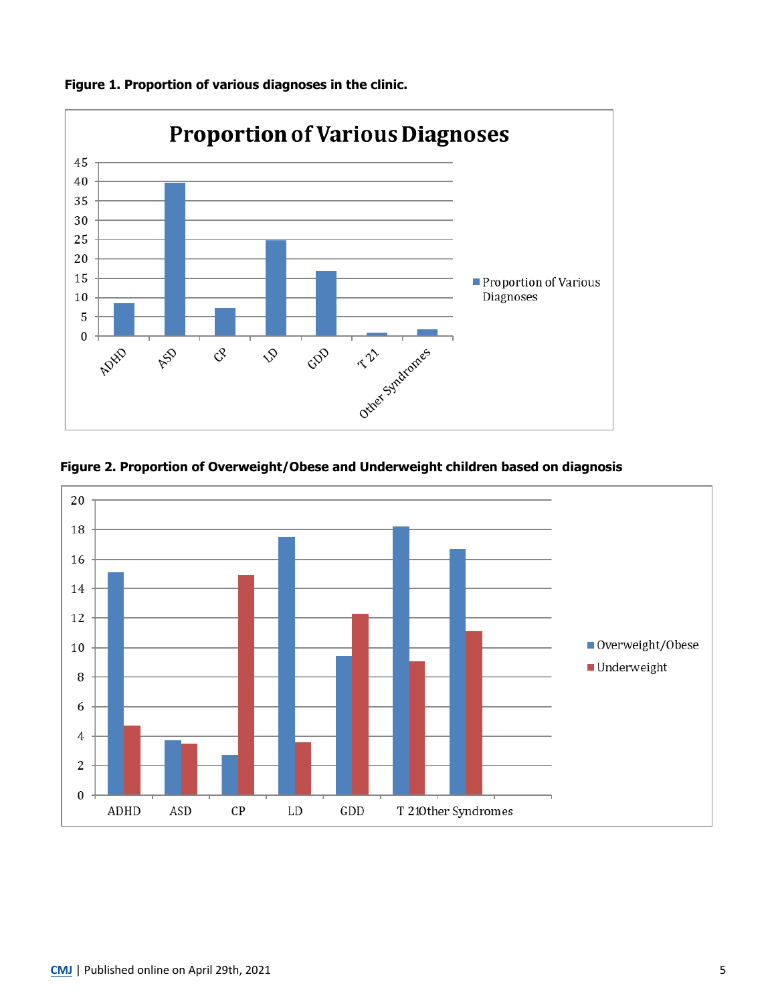

**Figure 1. Proportion of various diagnoses in the clinic.**



**Figure 2. Proportion of Overweight/Obese and Underweight children based on diagnosis**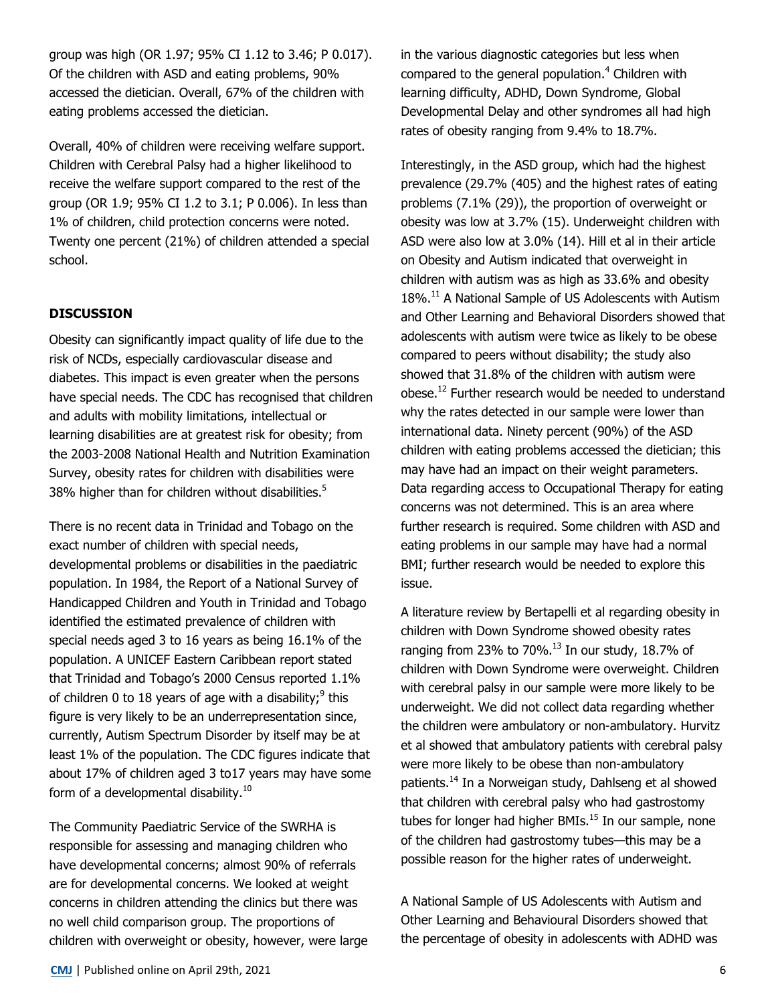group was high (OR 1.97; 95% CI 1.12 to 3.46; P 0.017). Of the children with ASD and eating problems, 90% accessed the dietician. Overall, 67% of the children with eating problems accessed the dietician.

Overall, 40% of children were receiving welfare support. Children with Cerebral Palsy had a higher likelihood to receive the welfare support compared to the rest of the group (OR 1.9; 95% CI 1.2 to 3.1; P 0.006). In less than 1% of children, child protection concerns were noted. Twenty one percent (21%) of children attended a special school.

## **DISCUSSION**

Obesity can significantly impact quality of life due to the risk of NCDs, especially cardiovascular disease and diabetes. This impact is even greater when the persons have special needs. The CDC has recognised that children and adults with mobility limitations, intellectual or learning disabilities are at greatest risk for obesity; from the 2003-2008 National Health and Nutrition Examination Survey, obesity rates for children with disabilities were 38% higher than for children without disabilities.<sup>5</sup>

There is no recent data in Trinidad and Tobago on the exact number of children with special needs, developmental problems or disabilities in the paediatric population. In 1984, the Report of a National Survey of Handicapped Children and Youth in Trinidad and Tobago identified the estimated prevalence of children with special needs aged 3 to 16 years as being 16.1% of the population. A UNICEF Eastern Caribbean report stated that Trinidad and Tobago's 2000 Census reported 1.1% of children 0 to 18 years of age with a disability; $9$  this figure is very likely to be an underrepresentation since, currently, Autism Spectrum Disorder by itself may be at least 1% of the population. The CDC figures indicate that about 17% of children aged 3 to17 years may have some form of a developmental disability. $10$ 

The Community Paediatric Service of the SWRHA is responsible for assessing and managing children who have developmental concerns; almost 90% of referrals are for developmental concerns. We looked at weight concerns in children attending the clinics but there was no well child comparison group. The proportions of children with overweight or obesity, however, were large in the various diagnostic categories but less when compared to the general population.<sup>4</sup> Children with learning difficulty, ADHD, Down Syndrome, Global Developmental Delay and other syndromes all had high rates of obesity ranging from 9.4% to 18.7%.

Interestingly, in the ASD group, which had the highest prevalence (29.7% (405) and the highest rates of eating problems (7.1% (29)), the proportion of overweight or obesity was low at 3.7% (15). Underweight children with ASD were also low at 3.0% (14). Hill et al in their article on Obesity and Autism indicated that overweight in children with autism was as high as 33.6% and obesity 18%.<sup>11</sup> A National Sample of US Adolescents with Autism and Other Learning and Behavioral Disorders showed that adolescents with autism were twice as likely to be obese compared to peers without disability; the study also showed that 31.8% of the children with autism were obese.<sup>12</sup> Further research would be needed to understand why the rates detected in our sample were lower than international data. Ninety percent (90%) of the ASD children with eating problems accessed the dietician; this may have had an impact on their weight parameters. Data regarding access to Occupational Therapy for eating concerns was not determined. This is an area where further research is required. Some children with ASD and eating problems in our sample may have had a normal BMI; further research would be needed to explore this issue.

A literature review by Bertapelli et al regarding obesity in children with Down Syndrome showed obesity rates ranging from 23% to 70%. $^{13}$  In our study, 18.7% of children with Down Syndrome were overweight. Children with cerebral palsy in our sample were more likely to be underweight. We did not collect data regarding whether the children were ambulatory or non-ambulatory. Hurvitz et al showed that ambulatory patients with cerebral palsy were more likely to be obese than non-ambulatory patients.<sup>14</sup> In a Norweigan study, Dahlseng et al showed that children with cerebral palsy who had gastrostomy tubes for longer had higher BMIs. $<sup>15</sup>$  In our sample, none</sup> of the children had gastrostomy tubes—this may be a possible reason for the higher rates of underweight.

A National Sample of US Adolescents with Autism and Other Learning and Behavioural Disorders showed that the percentage of obesity in adolescents with ADHD was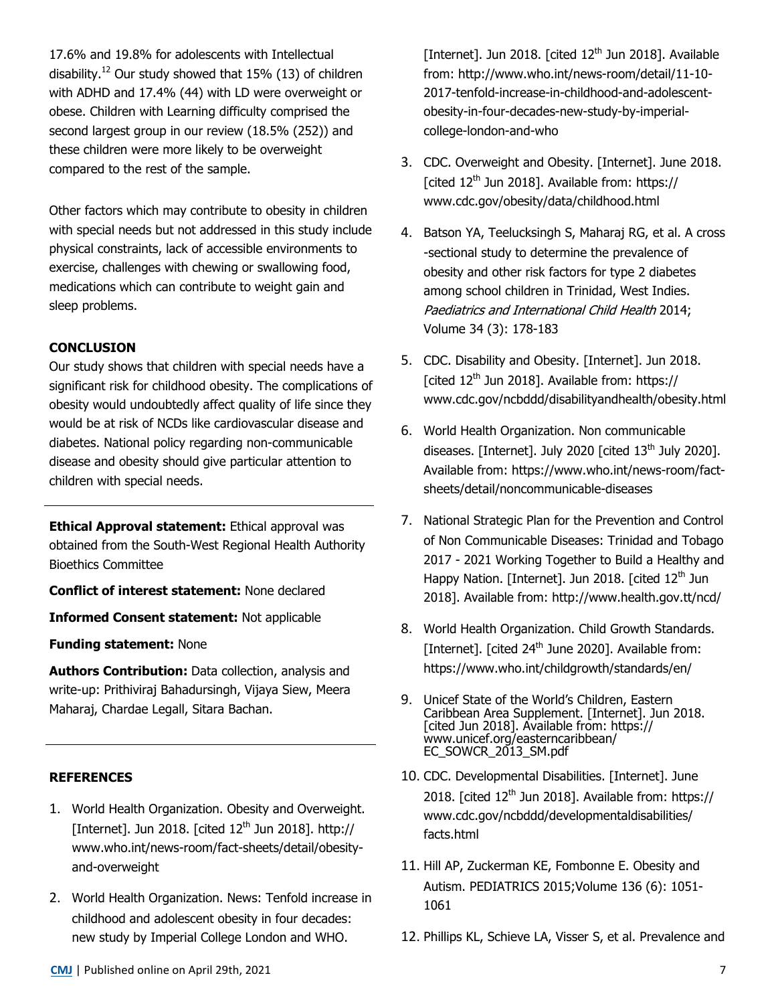17.6% and 19.8% for adolescents with Intellectual disability.<sup>12</sup> Our study showed that 15% (13) of children with ADHD and 17.4% (44) with LD were overweight or obese. Children with Learning difficulty comprised the second largest group in our review (18.5% (252)) and these children were more likely to be overweight compared to the rest of the sample.

Other factors which may contribute to obesity in children with special needs but not addressed in this study include physical constraints, lack of accessible environments to exercise, challenges with chewing or swallowing food, medications which can contribute to weight gain and sleep problems.

## **CONCLUSION**

Our study shows that children with special needs have a significant risk for childhood obesity. The complications of obesity would undoubtedly affect quality of life since they would be at risk of NCDs like cardiovascular disease and diabetes. National policy regarding non-communicable disease and obesity should give particular attention to children with special needs.

**Ethical Approval statement:** Ethical approval was obtained from the South-West Regional Health Authority Bioethics Committee

**Conflict of interest statement:** None declared

**Informed Consent statement:** Not applicable

**Funding statement:** None

**Authors Contribution:** Data collection, analysis and write-up: Prithiviraj Bahadursingh, Vijaya Siew, Meera Maharaj, Chardae Legall, Sitara Bachan.

# **REFERENCES**

- 1. World Health Organization. Obesity and Overweight. [Internet]. Jun 2018. [cited  $12<sup>th</sup>$  Jun 2018]. http:// www.who.int/news-room/fact-sheets/detail/obesityand-overweight
- 2. World Health Organization. News: Tenfold increase in childhood and adolescent obesity in four decades: new study by Imperial College London and WHO.

[Internet]. Jun 2018. [cited 12<sup>th</sup> Jun 2018]. Available from: http://www.who.int/news-room/detail/11-10- 2017-tenfold-increase-in-childhood-and-adolescentobesity-in-four-decades-new-study-by-imperialcollege-london-and-who

- 3. CDC. Overweight and Obesity. [Internet]. June 2018. [cited 12<sup>th</sup> Jun 2018]. Available from: https:// www.cdc.gov/obesity/data/childhood.html
- 4. Batson YA, Teelucksingh S, Maharaj RG, et al. A cross -sectional study to determine the prevalence of obesity and other risk factors for type 2 diabetes among school children in Trinidad, West Indies. Paediatrics and International Child Health 2014; Volume 34 (3): 178-183
- 5. CDC. Disability and Obesity. [Internet]. Jun 2018. [cited  $12<sup>th</sup>$  Jun 2018]. Available from: https:// www.cdc.gov/ncbddd/disabilityandhealth/obesity.html
- 6. World Health Organization. Non communicable diseases. [Internet]. July 2020 [cited 13<sup>th</sup> July 2020]. Available from: https://www.who.int/news-room/factsheets/detail/noncommunicable-diseases
- 7. National Strategic Plan for the Prevention and Control of Non Communicable Diseases: Trinidad and Tobago 2017 - 2021 Working Together to Build a Healthy and Happy Nation. [Internet]. Jun 2018. [cited 12<sup>th</sup> Jun 2018]. Available from: http://www.health.gov.tt/ncd/
- 8. World Health Organization. Child Growth Standards. [Internet]. [cited  $24<sup>th</sup>$  June 2020]. Available from: https://www.who.int/childgrowth/standards/en/
- 9. Unicef State of the World's Children, Eastern Caribbean Area Supplement. [Internet]. Jun 2018. [cited Jun 2018]. Available from: [https://](https://www.unicef.org/easterncaribbean/EC_SOWCR_2013_SM.pdf) [www.unicef.org/easterncaribbean/](https://www.unicef.org/easterncaribbean/EC_SOWCR_2013_SM.pdf) [EC\\_SOWCR\\_2013\\_SM.pdf](https://www.unicef.org/easterncaribbean/EC_SOWCR_2013_SM.pdf)
- 10. CDC. Developmental Disabilities. [Internet]. June 2018. [cited  $12<sup>th</sup>$  Jun 2018]. Available from: https:// www.cdc.gov/ncbddd/developmentaldisabilities/ facts.html
- 11. Hill AP, Zuckerman KE, Fombonne E. Obesity and Autism. PEDIATRICS 2015;Volume 136 (6): 1051- 1061
- 12. Phillips KL, Schieve LA, [Visser S](https://www.ncbi.nlm.nih.gov/pubmed/?term=Visser%20S%5BAuthor%5D&cauthor=true&cauthor_uid=24553796), et al. Prevalence and